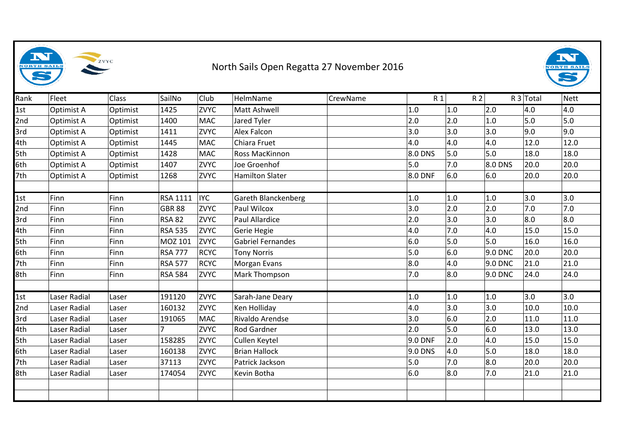

## North Sails Open Regatta 27 November 2016



| Rank | Fleet        | Class    | SailNo          | Club        | HelmName                 | CrewName | R1        | R <sub>2</sub> |         | $R3$ Total | Nett |
|------|--------------|----------|-----------------|-------------|--------------------------|----------|-----------|----------------|---------|------------|------|
| 1st  | Optimist A   | Optimist | 1425            | <b>ZVYC</b> | Matt Ashwell             |          | $1.0\,$   | 1.0            | 2.0     | 4.0        | 4.0  |
| 2nd  | Optimist A   | Optimist | 1400            | MAC         | Jared Tyler              |          | 2.0       | 2.0            | 1.0     | $5.0$      | 5.0  |
| 3rd  | Optimist A   | Optimist | 1411            | <b>ZVYC</b> | Alex Falcon              |          | 3.0       | 3.0            | 3.0     | 9.0        | 9.0  |
| 4th  | Optimist A   | Optimist | 1445            | MAC         | Chiara Fruet             |          | 4.0       | 4.0            | 4.0     | 12.0       | 12.0 |
| 5th  | Optimist A   | Optimist | 1428            | MAC         | Ross MacKinnon           |          | 8.0 DNS   | 5.0            | 5.0     | 18.0       | 18.0 |
| 6th  | Optimist A   | Optimist | 1407            | <b>ZVYC</b> | Joe Groenhof             |          | 5.0       | 7.0            | 8.0 DNS | 20.0       | 20.0 |
| 7th  | Optimist A   | Optimist | 1268            | <b>ZVYC</b> | <b>Hamilton Slater</b>   |          | 8.0 DNF   | 6.0            | 6.0     | 20.0       | 20.0 |
| 1st  | Finn         | Finn     | <b>RSA 1111</b> | <b>IYC</b>  | Gareth Blanckenberg      |          | $1.0$     | 1.0            | 1.0     | 3.0        | 3.0  |
| 2nd  | Finn         | Finn     | <b>GBR 88</b>   | <b>ZVYC</b> | Paul Wilcox              |          | 3.0       | 2.0            | 2.0     | 7.0        | 7.0  |
| 3rd  | Finn         | Finn     | <b>RSA 82</b>   | <b>ZVYC</b> | Paul Allardice           |          | 2.0       | 3.0            | 3.0     | 8.0        | 8.0  |
| 4th  | <b>Finn</b>  | Finn     | <b>RSA 535</b>  | <b>ZVYC</b> | Gerie Hegie              |          | 4.0       | 7.0            | 4.0     | 15.0       | 15.0 |
| 5th  | Finn         | Finn     | MOZ 101         | <b>ZVYC</b> | <b>Gabriel Fernandes</b> |          | 6.0       | 5.0            | 5.0     | 16.0       | 16.0 |
| 6th  | Finn         | Finn     | <b>RSA 777</b>  | <b>RCYC</b> | <b>Tony Norris</b>       |          | 5.0       | 6.0            | 9.0 DNC | 20.0       | 20.0 |
| 7th  | Finn         | Finn     | <b>RSA 577</b>  | <b>RCYC</b> | Morgan Evans             |          | 8.0       | 4.0            | 9.0 DNC | 21.0       | 21.0 |
| 8th  | Finn         | Finn     | <b>RSA 584</b>  | <b>ZVYC</b> | Mark Thompson            |          | 7.0       | 8.0            | 9.0 DNC | 24.0       | 24.0 |
|      |              |          |                 |             |                          |          |           |                |         |            |      |
| 1st  | Laser Radial | Laser    | 191120          | <b>ZVYC</b> | Sarah-Jane Deary         |          | $1.0\,$   | 1.0            | 1.0     | 3.0        | 3.0  |
| 2nd  | Laser Radial | Laser    | 160132          | <b>ZVYC</b> | Ken Holliday             |          | 4.0       | 3.0            | 3.0     | 10.0       | 10.0 |
| 3rd  | Laser Radial | Laser    | 191065          | MAC         | Rivaldo Arendse          |          | 3.0       | 6.0            | 2.0     | 11.0       | 11.0 |
| 4th  | Laser Radial | Laser    |                 | <b>ZVYC</b> | Rod Gardner              |          | 2.0       | 5.0            | 6.0     | 13.0       | 13.0 |
| 5th  | Laser Radial | Laser    | 158285          | <b>ZVYC</b> | Cullen Keytel            |          | $9.0$ DNF | $ 2.0\rangle$  | 4.0     | 15.0       | 15.0 |
| 6th  | Laser Radial | Laser    | 160138          | <b>ZVYC</b> | <b>Brian Hallock</b>     |          | 9.0 DNS   | 4.0            | 5.0     | 18.0       | 18.0 |
| 7th  | Laser Radial | Laser    | 37113           | <b>ZVYC</b> | Patrick Jackson          |          | 5.0       | 7.0            | 8.0     | 20.0       | 20.0 |
| 8th  | Laser Radial | Laser    | 174054          | <b>ZVYC</b> | Kevin Botha              |          | 6.0       | 8.0            | 7.0     | 21.0       | 21.0 |
|      |              |          |                 |             |                          |          |           |                |         |            |      |
|      |              |          |                 |             |                          |          |           |                |         |            |      |